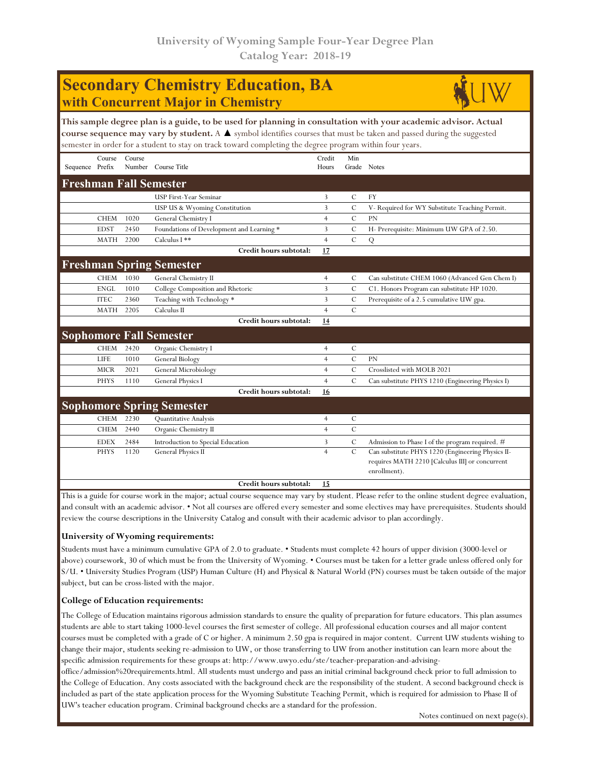# **Secondary Chemistry Education, BA with Concurrent Major in Chemistry**



**This sample degree plan is a guide, to be used for planning in consultation with your academic advisor. Actual course sequence may vary by student.** A ▲ symbol identifies courses that must be taken and passed during the suggested semester in order for a student to stay on track toward completing the degree program within four years.

|                                  | Course      | Course |                                           | Credit         | Min           |                                                                 |  |  |  |
|----------------------------------|-------------|--------|-------------------------------------------|----------------|---------------|-----------------------------------------------------------------|--|--|--|
| Sequence Prefix                  |             | Number | Course Title                              | Hours          | Grade Notes   |                                                                 |  |  |  |
| <b>Freshman Fall Semester</b>    |             |        |                                           |                |               |                                                                 |  |  |  |
|                                  |             |        | <b>USP First-Year Seminar</b>             | 3              | $\mathcal{C}$ | <b>FY</b>                                                       |  |  |  |
|                                  |             |        | USP US & Wyoming Constitution             | 3              | $\mathcal{C}$ | V- Required for WY Substitute Teaching Permit.                  |  |  |  |
|                                  | <b>CHEM</b> | 1020   | General Chemistry I                       | $\overline{4}$ | $\mathcal{C}$ | PN                                                              |  |  |  |
|                                  | <b>EDST</b> | 2450   | Foundations of Development and Learning * | 3              | $\mathcal{C}$ | H- Prerequisite: Minimum UW GPA of 2.50.                        |  |  |  |
|                                  | <b>MATH</b> | 2200   | Calculus I **                             | $\overline{4}$ | $\mathbf C$   | Q                                                               |  |  |  |
|                                  |             |        | Credit hours subtotal:                    | 17             |               |                                                                 |  |  |  |
|                                  |             |        | <b>Freshman Spring Semester</b>           |                |               |                                                                 |  |  |  |
|                                  | <b>CHEM</b> | 1030   | General Chemistry II                      | $\overline{4}$ | C             | Can substitute CHEM 1060 (Advanced Gen Chem I)                  |  |  |  |
|                                  | <b>ENGL</b> | 1010   | College Composition and Rhetoric          | $\overline{3}$ | $\mathcal{C}$ | C1. Honors Program can substitute HP 1020.                      |  |  |  |
|                                  | <b>ITEC</b> | 2360   | Teaching with Technology *                | 3              | $\mathcal{C}$ | Prerequisite of a 2.5 cumulative UW gpa.                        |  |  |  |
|                                  | <b>MATH</b> | 2205   | Calculus II                               | $\overline{4}$ | $\mathcal{C}$ |                                                                 |  |  |  |
|                                  |             |        | Credit hours subtotal:                    | 14             |               |                                                                 |  |  |  |
| <b>Sophomore Fall Semester</b>   |             |        |                                           |                |               |                                                                 |  |  |  |
|                                  | <b>CHEM</b> | 2420   | Organic Chemistry I                       | 4              | C             |                                                                 |  |  |  |
|                                  | <b>LIFE</b> | 1010   | General Biology                           | $\overline{4}$ | $\mathcal{C}$ | PN                                                              |  |  |  |
|                                  | <b>MICR</b> | 2021   | General Microbiology                      | $\overline{4}$ | $\mathcal{C}$ | Crosslisted with MOLB 2021                                      |  |  |  |
|                                  | <b>PHYS</b> | 1110   | General Physics I                         | $\overline{4}$ | $\mathcal{C}$ | Can substitute PHYS 1210 (Engineering Physics I)                |  |  |  |
|                                  |             |        | Credit hours subtotal:                    | 16             |               |                                                                 |  |  |  |
| <b>Sophomore Spring Semester</b> |             |        |                                           |                |               |                                                                 |  |  |  |
|                                  | <b>CHEM</b> | 2230   | Quantitative Analysis                     | $\overline{4}$ | $\mathcal{C}$ |                                                                 |  |  |  |
|                                  | <b>CHEM</b> | 2440   | Organic Chemistry II                      | $\overline{4}$ | $\mathcal{C}$ |                                                                 |  |  |  |
|                                  | <b>EDEX</b> | 2484   | Introduction to Special Education         | 3              | С             | Admission to Phase I of the program required. #                 |  |  |  |
|                                  | <b>PHYS</b> | 1120   | General Physics II                        | $\overline{4}$ | $\mathbf C$   | Can substitute PHYS 1220 (Engineering Physics II-               |  |  |  |
|                                  |             |        |                                           |                |               | requires MATH 2210 [Calculus III] or concurrent<br>enrollment). |  |  |  |
|                                  |             |        | Credit hours subtotal:                    | 15             |               |                                                                 |  |  |  |

This is a guide for course work in the major; actual course sequence may vary by student. Please refer to the online student degree evaluation, and consult with an academic advisor. • Not all courses are offered every semester and some electives may have prerequisites. Students should review the course descriptions in the University Catalog and consult with their academic advisor to plan accordingly.

### **University of Wyoming requirements:**

Students must have a minimum cumulative GPA of 2.0 to graduate. • Students must complete 42 hours of upper division (3000-level or above) coursework, 30 of which must be from the University of Wyoming. • Courses must be taken for a letter grade unless offered only for S/U. • University Studies Program (USP) Human Culture (H) and Physical & Natural World (PN) courses must be taken outside of the major subject, but can be cross-listed with the major.

### **College of Education requirements:**

The College of Education maintains rigorous admission standards to ensure the quality of preparation for future educators. This plan assumes students are able to start taking 1000-level courses the first semester of college. All professional education courses and all major content courses must be completed with a grade of C or higher. A minimum 2.50 gpa is required in major content. Current UW students wishing to change their major, students seeking re-admission to UW, or those transferring to UW from another institution can learn more about the specific admission requirements for these groups at: http://www.uwyo.edu/ste/teacher-preparation-and-advising-

office/admission%20requirements.html. All students must undergo and pass an initial criminal background check prior to full admission to the College of Education. Any costs associated with the background check are the responsibility of the student. A second background check is included as part of the state application process for the Wyoming Substitute Teaching Permit, which is required for admission to Phase II of UW's teacher education program. Criminal background checks are a standard for the profession.